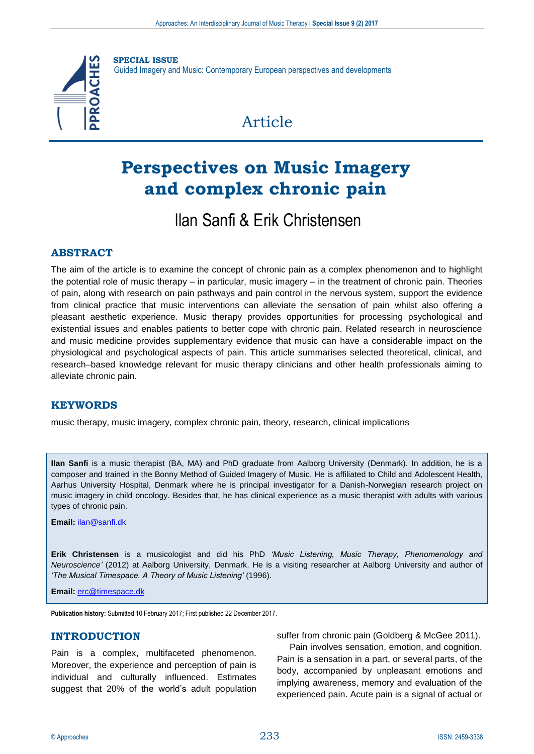

# **Perspectives on Music Imagery and complex chronic pain**

## llan Sanfi & Erik Christensen

#### **ABSTRACT**

The aim of the article is to examine the concept of chronic pain as a complex phenomenon and to highlight the potential role of music therapy – in particular, music imagery – in the treatment of chronic pain. Theories of pain, along with research on pain pathways and pain control in the nervous system, support the evidence from clinical practice that music interventions can alleviate the sensation of pain whilst also offering a pleasant aesthetic experience. Music therapy provides opportunities for processing psychological and existential issues and enables patients to better cope with chronic pain. Related research in neuroscience and music medicine provides supplementary evidence that music can have a considerable impact on the physiological and psychological aspects of pain. This article summarises selected theoretical, clinical, and research–based knowledge relevant for music therapy clinicians and other health professionals aiming to alleviate chronic pain.

#### **KEYWORDS**

music therapy, music imagery, complex chronic pain, theory, research, clinical implications

**Ilan Sanfi** is a music therapist (BA, MA) and PhD graduate from Aalborg University (Denmark). In addition, he is a composer and trained in the Bonny Method of Guided Imagery of Music. He is affiliated to Child and Adolescent Health, Aarhus University Hospital, Denmark where he is principal investigator for a Danish-Norwegian research project on music imagery in child oncology. Besides that, he has clinical experience as a music therapist with adults with various types of chronic pain.

**Email:** [ilan@sanfi.dk](mailto:ilan@sanfi.dk)

**Erik Christensen** is a musicologist and did his PhD *'Music Listening, Music Therapy, Phenomenology and Neuroscience'* (2012) at Aalborg University, Denmark. He is a visiting researcher at Aalborg University and author of *'The Musical Timespace. A Theory of Music Listening'* (1996).

**Email:** [erc@timespace.dk](mailto:erc@timespace.dk)

**Publication history:** Submitted 10 February 2017; First published 22 December 2017.

#### **INTRODUCTION**

Pain is a complex, multifaceted phenomenon. Moreover, the experience and perception of pain is individual and culturally influenced. Estimates suggest that 20% of the world's adult population suffer from chronic pain (Goldberg & McGee 2011).

Pain involves sensation, emotion, and cognition. Pain is a sensation in a part, or several parts, of the body, accompanied by unpleasant emotions and implying awareness, memory and evaluation of the experienced pain. Acute pain is a signal of actual or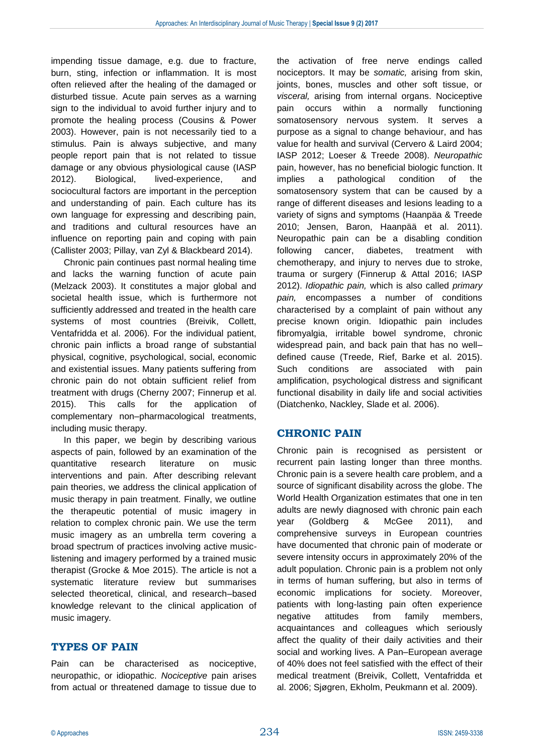impending tissue damage, e.g. due to fracture, burn, sting, infection or inflammation. It is most often relieved after the healing of the damaged or disturbed tissue. Acute pain serves as a warning sign to the individual to avoid further injury and to promote the healing process (Cousins & Power 2003). However, pain is not necessarily tied to a stimulus. Pain is always subjective, and many people report pain that is not related to tissue damage or any obvious physiological cause (IASP 2012). Biological, lived-experience, and sociocultural factors are important in the perception and understanding of pain. Each culture has its own language for expressing and describing pain, and traditions and cultural resources have an influence on reporting pain and coping with pain (Callister 2003; Pillay, van Zyl & Blackbeard 2014).

Chronic pain continues past normal healing time and lacks the warning function of acute pain (Melzack 2003). It constitutes a major global and societal health issue, which is furthermore not sufficiently addressed and treated in the health care systems of most countries (Breivik, Collett, Ventafridda et al. 2006). For the individual patient, chronic pain inflicts a broad range of substantial physical, cognitive, psychological, social, economic and existential issues. Many patients suffering from chronic pain do not obtain sufficient relief from treatment with drugs (Cherny 2007; Finnerup et al. 2015). This calls for the application of complementary non–pharmacological treatments, including music therapy.

In this paper, we begin by describing various aspects of pain, followed by an examination of the quantitative research literature on music interventions and pain. After describing relevant pain theories, we address the clinical application of music therapy in pain treatment. Finally, we outline the therapeutic potential of music imagery in relation to complex chronic pain. We use the term music imagery as an umbrella term covering a broad spectrum of practices involving active musiclistening and imagery performed by a trained music therapist (Grocke & Moe 2015). The article is not a systematic literature review but summarises selected theoretical, clinical, and research–based knowledge relevant to the clinical application of music imagery.

#### **TYPES OF PAIN**

Pain can be characterised as nociceptive, neuropathic, or idiopathic. *Nociceptive* pain arises from actual or threatened damage to tissue due to

the activation of free nerve endings called nociceptors. It may be *somatic,* arising from skin, joints, bones, muscles and other soft tissue, or *visceral,* arising from internal organs. Nociceptive pain occurs within a normally functioning somatosensory nervous system. It serves a purpose as a signal to change behaviour, and has value for health and survival (Cervero & Laird 2004; IASP 2012; Loeser & Treede 2008). *Neuropathic*  pain, however, has no beneficial biologic function. It implies a pathological condition of the somatosensory system that can be caused by a range of different diseases and lesions leading to a variety of signs and symptoms (Haanpäa & Treede 2010; Jensen, Baron, Haanpää et al. 2011). Neuropathic pain can be a disabling condition following cancer, diabetes, treatment with chemotherapy, and injury to nerves due to stroke, trauma or surgery (Finnerup & Attal 2016; IASP 2012). *Idiopathic pain,* which is also called *primary pain,* encompasses a number of conditions characterised by a complaint of pain without any precise known origin. Idiopathic pain includes fibromyalgia, irritable bowel syndrome, chronic widespread pain, and back pain that has no well– defined cause (Treede, Rief, Barke et al. 2015). Such conditions are associated with pain amplification, psychological distress and significant functional disability in daily life and social activities (Diatchenko, Nackley, Slade et al. 2006).

#### **CHRONIC PAIN**

Chronic pain is recognised as persistent or recurrent pain lasting longer than three months. Chronic pain is a severe health care problem, and a source of significant disability across the globe. The World Health Organization estimates that one in ten adults are newly diagnosed with chronic pain each year (Goldberg & McGee 2011), and comprehensive surveys in European countries have documented that chronic pain of moderate or severe intensity occurs in approximately 20% of the adult population. Chronic pain is a problem not only in terms of human suffering, but also in terms of economic implications for society. Moreover, patients with long-lasting pain often experience negative attitudes from family members, acquaintances and colleagues which seriously affect the quality of their daily activities and their social and working lives. A Pan–European average of 40% does not feel satisfied with the effect of their medical treatment (Breivik, Collett, Ventafridda et al. 2006; Sjøgren, Ekholm, Peukmann et al. 2009).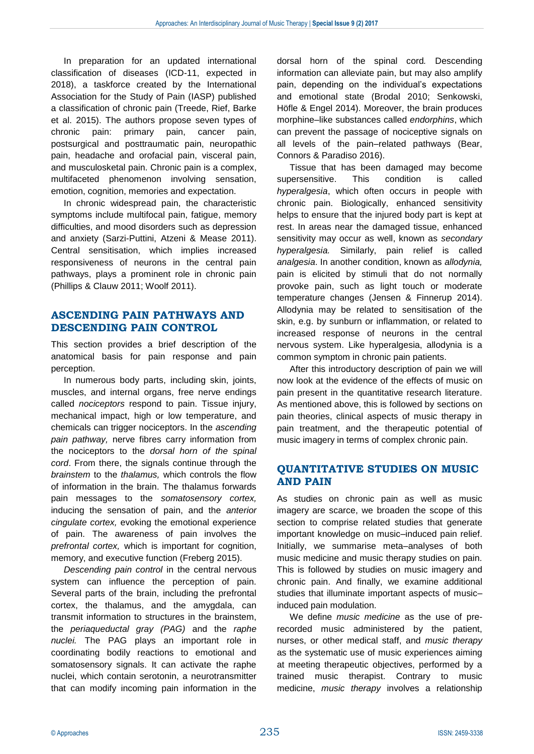In preparation for an updated international classification of diseases (ICD-11, expected in 2018), a taskforce created by the International Association for the Study of Pain (IASP) published a classification of chronic pain (Treede, Rief, Barke et al. 2015). The authors propose seven types of chronic pain: primary pain, cancer pain, postsurgical and posttraumatic pain, neuropathic pain, headache and orofacial pain, visceral pain, and musculosketal pain. Chronic pain is a complex, multifaceted phenomenon involving sensation, emotion, cognition, memories and expectation.

In chronic widespread pain, the characteristic symptoms include multifocal pain, fatigue, memory difficulties, and mood disorders such as depression and anxiety (Sarzi-Puttini, Atzeni & Mease 2011). Central sensitisation, which implies increased responsiveness of neurons in the central pain pathways, plays a prominent role in chronic pain (Phillips & Clauw 2011; Woolf 2011).

## **ASCENDING PAIN PATHWAYS AND DESCENDING PAIN CONTROL**

This section provides a brief description of the anatomical basis for pain response and pain perception.

In numerous body parts, including skin, joints, muscles, and internal organs, free nerve endings called *nociceptors* respond to pain. Tissue injury, mechanical impact, high or low temperature, and chemicals can trigger nociceptors. In the *ascending pain pathway,* nerve fibres carry information from the nociceptors to the *dorsal horn of the spinal cord*. From there, the signals continue through the *brainstem* to the *thalamus,* which controls the flow of information in the brain. The thalamus forwards pain messages to the *somatosensory cortex,*  inducing the sensation of pain, and the *anterior cingulate cortex,* evoking the emotional experience of pain. The awareness of pain involves the *prefrontal cortex,* which is important for cognition, memory, and executive function (Freberg 2015).

*Descending pain control* in the central nervous system can influence the perception of pain. Several parts of the brain, including the prefrontal cortex, the thalamus, and the amygdala, can transmit information to structures in the brainstem, the *periaqueductal gray (PAG)* and the *raphe nuclei.* The PAG plays an important role in coordinating bodily reactions to emotional and somatosensory signals. It can activate the raphe nuclei, which contain serotonin, a neurotransmitter that can modify incoming pain information in the

dorsal horn of the spinal cord*.* Descending information can alleviate pain, but may also amplify pain, depending on the individual's expectations and emotional state (Brodal 2010; Senkowski, Höfle & Engel 2014). Moreover, the brain produces morphine–like substances called *endorphins*, which can prevent the passage of nociceptive signals on all levels of the pain–related pathways (Bear, Connors & Paradiso 2016).

Tissue that has been damaged may become supersensitive. This condition is called *hyperalgesia*, which often occurs in people with chronic pain. Biologically, enhanced sensitivity helps to ensure that the injured body part is kept at rest. In areas near the damaged tissue, enhanced sensitivity may occur as well, known as *secondary hyperalgesia.* Similarly, pain relief is called *analgesia*. In another condition, known as *allodynia,*  pain is elicited by stimuli that do not normally provoke pain, such as light touch or moderate temperature changes (Jensen & Finnerup 2014). Allodynia may be related to sensitisation of the skin, e.g. by sunburn or inflammation, or related to increased response of neurons in the central nervous system. Like hyperalgesia, allodynia is a common symptom in chronic pain patients.

After this introductory description of pain we will now look at the evidence of the effects of music on pain present in the quantitative research literature. As mentioned above, this is followed by sections on pain theories, clinical aspects of music therapy in pain treatment, and the therapeutic potential of music imagery in terms of complex chronic pain.

#### **QUANTITATIVE STUDIES ON MUSIC AND PAIN**

As studies on chronic pain as well as music imagery are scarce, we broaden the scope of this section to comprise related studies that generate important knowledge on music–induced pain relief. Initially, we summarise meta–analyses of both music medicine and music therapy studies on pain. This is followed by studies on music imagery and chronic pain. And finally, we examine additional studies that illuminate important aspects of music– induced pain modulation.

We define *music medicine* as the use of prerecorded music administered by the patient, nurses, or other medical staff, and *music therapy* as the systematic use of music experiences aiming at meeting therapeutic objectives, performed by a trained music therapist. Contrary to music medicine, *music therapy* involves a relationship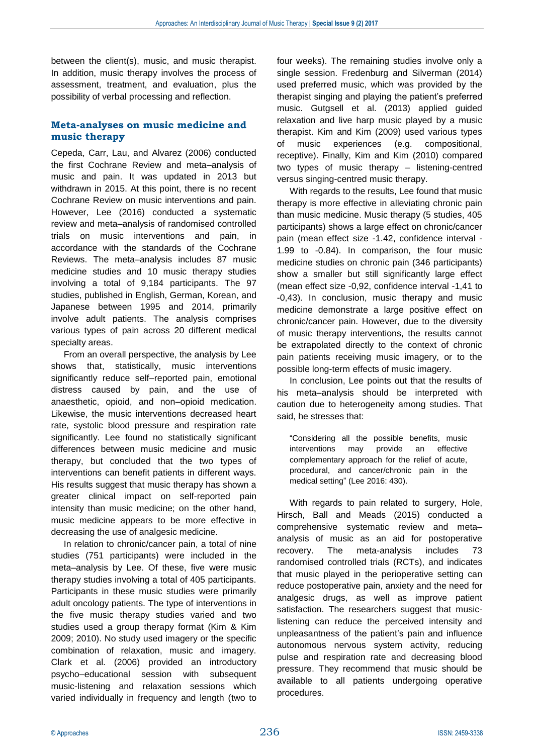between the client(s), music, and music therapist. In addition, music therapy involves the process of assessment, treatment, and evaluation, plus the possibility of verbal processing and reflection.

#### **Meta-analyses on music medicine and music therapy**

Cepeda, Carr, Lau, and Alvarez (2006) conducted the first Cochrane Review and meta–analysis of music and pain. It was updated in 2013 but withdrawn in 2015. At this point, there is no recent Cochrane Review on music interventions and pain. However, Lee (2016) conducted a systematic review and meta–analysis of randomised controlled trials on music interventions and pain, in accordance with the standards of the Cochrane Reviews. The meta–analysis includes 87 music medicine studies and 10 music therapy studies involving a total of 9,184 participants. The 97 studies, published in English, German, Korean, and Japanese between 1995 and 2014, primarily involve adult patients. The analysis comprises various types of pain across 20 different medical specialty areas.

From an overall perspective, the analysis by Lee shows that, statistically, music interventions significantly reduce self–reported pain, emotional distress caused by pain, and the use of anaesthetic, opioid, and non–opioid medication. Likewise, the music interventions decreased heart rate, systolic blood pressure and respiration rate significantly. Lee found no statistically significant differences between music medicine and music therapy, but concluded that the two types of interventions can benefit patients in different ways. His results suggest that music therapy has shown a greater clinical impact on self-reported pain intensity than music medicine; on the other hand, music medicine appears to be more effective in decreasing the use of analgesic medicine.

In relation to chronic/cancer pain, a total of nine studies (751 participants) were included in the meta–analysis by Lee. Of these, five were music therapy studies involving a total of 405 participants. Participants in these music studies were primarily adult oncology patients. The type of interventions in the five music therapy studies varied and two studies used a group therapy format (Kim & Kim 2009; 2010). No study used imagery or the specific combination of relaxation, music and imagery. Clark et al. (2006) provided an introductory psycho–educational session with subsequent music-listening and relaxation sessions which varied individually in frequency and length (two to four weeks). The remaining studies involve only a single session. Fredenburg and Silverman (2014) used preferred music, which was provided by the therapist singing and playing the patient's preferred music. Gutgsell et al. (2013) applied guided relaxation and live harp music played by a music therapist. Kim and Kim (2009) used various types of music experiences (e.g. compositional, receptive). Finally, Kim and Kim (2010) compared two types of music therapy – listening-centred versus singing-centred music therapy.

With regards to the results, Lee found that music therapy is more effective in alleviating chronic pain than music medicine. Music therapy (5 studies, 405 participants) shows a large effect on chronic/cancer pain (mean effect size -1.42, confidence interval - 1.99 to -0.84). In comparison, the four music medicine studies on chronic pain (346 participants) show a smaller but still significantly large effect (mean effect size -0,92, confidence interval -1,41 to -0,43). In conclusion, music therapy and music medicine demonstrate a large positive effect on chronic/cancer pain. However, due to the diversity of music therapy interventions, the results cannot be extrapolated directly to the context of chronic pain patients receiving music imagery, or to the possible long-term effects of music imagery.

In conclusion, Lee points out that the results of his meta–analysis should be interpreted with caution due to heterogeneity among studies. That said, he stresses that:

"Considering all the possible benefits, music interventions may provide an effective complementary approach for the relief of acute, procedural, and cancer/chronic pain in the medical setting" (Lee 2016: 430).

With regards to pain related to surgery, Hole, Hirsch, Ball and Meads (2015) conducted a comprehensive systematic review and meta– analysis of music as an aid for postoperative recovery. The meta-analysis includes 73 randomised controlled trials (RCTs), and indicates that music played in the perioperative setting can reduce postoperative pain, anxiety and the need for analgesic drugs, as well as improve patient satisfaction. The researchers suggest that musiclistening can reduce the perceived intensity and unpleasantness of the patient's pain and influence autonomous nervous system activity, reducing pulse and respiration rate and decreasing blood pressure. They recommend that music should be available to all patients undergoing operative procedures.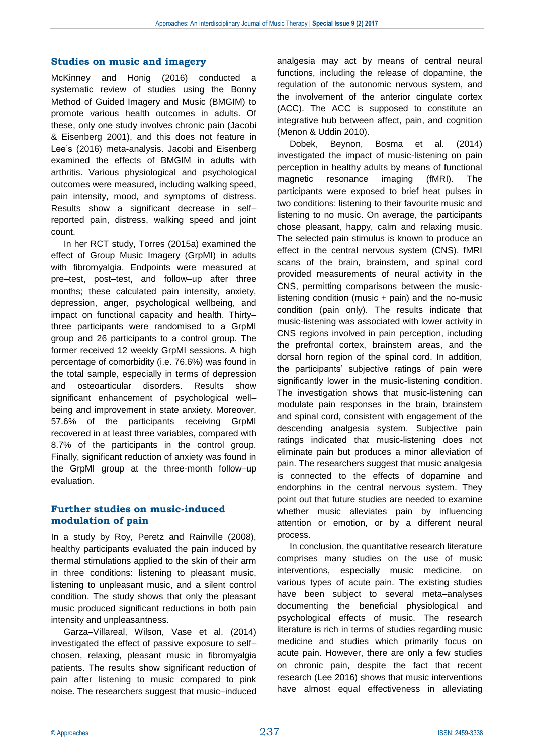#### **Studies on music and imagery**

McKinney and Honig (2016) conducted a systematic review of studies using the Bonny Method of Guided Imagery and Music (BMGIM) to promote various health outcomes in adults. Of these, only one study involves chronic pain (Jacobi & Eisenberg 2001), and this does not feature in Lee's (2016) meta-analysis. Jacobi and Eisenberg examined the effects of BMGIM in adults with arthritis. Various physiological and psychological outcomes were measured, including walking speed, pain intensity, mood, and symptoms of distress. Results show a significant decrease in self– reported pain, distress, walking speed and joint count.

In her RCT study, Torres (2015a) examined the effect of Group Music Imagery (GrpMI) in adults with fibromyalgia. Endpoints were measured at pre–test, post–test, and follow–up after three months; these calculated pain intensity, anxiety, depression, anger, psychological wellbeing, and impact on functional capacity and health. Thirty– three participants were randomised to a GrpMI group and 26 participants to a control group. The former received 12 weekly GrpMI sessions. A high percentage of comorbidity (i.e. 76.6%) was found in the total sample, especially in terms of depression and osteoarticular disorders. Results show significant enhancement of psychological well– being and improvement in state anxiety. Moreover, 57.6% of the participants receiving GrpMI recovered in at least three variables, compared with 8.7% of the participants in the control group. Finally, significant reduction of anxiety was found in the GrpMI group at the three-month follow–up evaluation.

#### **Further studies on music-induced modulation of pain**

In a study by Roy, Peretz and Rainville (2008), healthy participants evaluated the pain induced by thermal stimulations applied to the skin of their arm in three conditions: listening to pleasant music, listening to unpleasant music, and a silent control condition. The study shows that only the pleasant music produced significant reductions in both pain intensity and unpleasantness.

Garza–Villareal, Wilson, Vase et al. (2014) investigated the effect of passive exposure to self– chosen, relaxing, pleasant music in fibromyalgia patients. The results show significant reduction of pain after listening to music compared to pink noise. The researchers suggest that music–induced

analgesia may act by means of central neural functions, including the release of dopamine, the regulation of the autonomic nervous system, and the involvement of the anterior cingulate cortex (ACC). The ACC is supposed to constitute an integrative hub between affect, pain, and cognition (Menon & Uddin 2010).

Dobek, Beynon, Bosma et al. (2014) investigated the impact of music-listening on pain perception in healthy adults by means of functional magnetic resonance imaging (fMRI). The participants were exposed to brief heat pulses in two conditions: listening to their favourite music and listening to no music. On average, the participants chose pleasant, happy, calm and relaxing music. The selected pain stimulus is known to produce an effect in the central nervous system (CNS). fMRI scans of the brain, brainstem, and spinal cord provided measurements of neural activity in the CNS, permitting comparisons between the musiclistening condition (music + pain) and the no-music condition (pain only). The results indicate that music-listening was associated with lower activity in CNS regions involved in pain perception, including the prefrontal cortex, brainstem areas, and the dorsal horn region of the spinal cord. In addition, the participants' subjective ratings of pain were significantly lower in the music-listening condition. The investigation shows that music-listening can modulate pain responses in the brain, brainstem and spinal cord, consistent with engagement of the descending analgesia system. Subjective pain ratings indicated that music-listening does not eliminate pain but produces a minor alleviation of pain. The researchers suggest that music analgesia is connected to the effects of dopamine and endorphins in the central nervous system. They point out that future studies are needed to examine whether music alleviates pain by influencing attention or emotion, or by a different neural process.

In conclusion, the quantitative research literature comprises many studies on the use of music interventions, especially music medicine, on various types of acute pain. The existing studies have been subject to several meta–analyses documenting the beneficial physiological and psychological effects of music. The research literature is rich in terms of studies regarding music medicine and studies which primarily focus on acute pain. However, there are only a few studies on chronic pain, despite the fact that recent research (Lee 2016) shows that music interventions have almost equal effectiveness in alleviating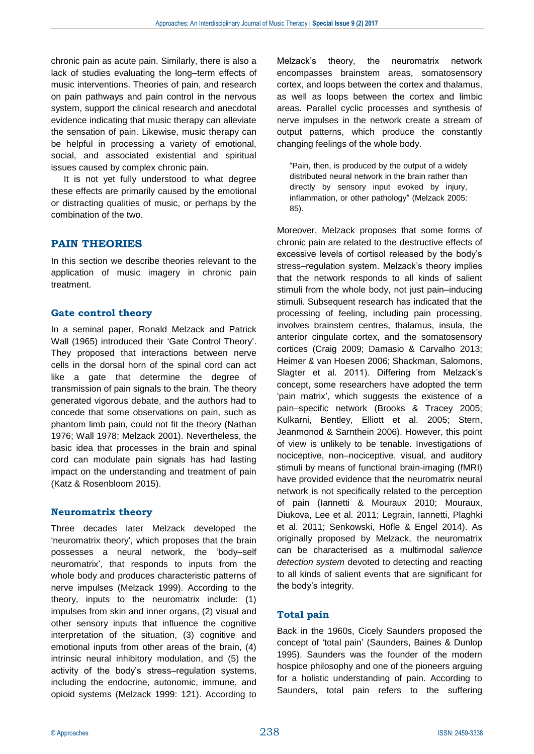chronic pain as acute pain. Similarly, there is also a lack of studies evaluating the long–term effects of music interventions. Theories of pain, and research on pain pathways and pain control in the nervous system, support the clinical research and anecdotal evidence indicating that music therapy can alleviate the sensation of pain. Likewise, music therapy can be helpful in processing a variety of emotional, social, and associated existential and spiritual issues caused by complex chronic pain.

It is not yet fully understood to what degree these effects are primarily caused by the emotional or distracting qualities of music, or perhaps by the combination of the two.

#### **PAIN THEORIES**

In this section we describe theories relevant to the application of music imagery in chronic pain treatment.

#### **Gate control theory**

In a seminal paper, Ronald Melzack and Patrick Wall (1965) introduced their 'Gate Control Theory'. They proposed that interactions between nerve cells in the dorsal horn of the spinal cord can act like a gate that determine the degree of transmission of pain signals to the brain. The theory generated vigorous debate, and the authors had to concede that some observations on pain, such as phantom limb pain, could not fit the theory (Nathan 1976; Wall 1978; Melzack 2001). Nevertheless, the basic idea that processes in the brain and spinal cord can modulate pain signals has had lasting impact on the understanding and treatment of pain (Katz & Rosenbloom 2015).

#### **Neuromatrix theory**

Three decades later Melzack developed the 'neuromatrix theory', which proposes that the brain possesses a neural network, the 'body–self neuromatrix', that responds to inputs from the whole body and produces characteristic patterns of nerve impulses (Melzack 1999). According to the theory, inputs to the neuromatrix include: (1) impulses from skin and inner organs, (2) visual and other sensory inputs that influence the cognitive interpretation of the situation, (3) cognitive and emotional inputs from other areas of the brain, (4) intrinsic neural inhibitory modulation, and (5) the activity of the body's stress–regulation systems, including the endocrine, autonomic, immune, and opioid systems (Melzack 1999: 121). According to

Melzack's theory, the neuromatrix network encompasses brainstem areas, somatosensory cortex, and loops between the cortex and thalamus, as well as loops between the cortex and limbic areas. Parallel cyclic processes and synthesis of nerve impulses in the network create a stream of output patterns, which produce the constantly changing feelings of the whole body.

"Pain, then, is produced by the output of a widely distributed neural network in the brain rather than directly by sensory input evoked by injury, inflammation, or other pathology" (Melzack 2005: 85).

Moreover, Melzack proposes that some forms of chronic pain are related to the destructive effects of excessive levels of cortisol released by the body's stress–regulation system. Melzack's theory implies that the network responds to all kinds of salient stimuli from the whole body, not just pain–inducing stimuli. Subsequent research has indicated that the processing of feeling, including pain processing, involves brainstem centres, thalamus, insula, the anterior cingulate cortex, and the somatosensory cortices (Craig 2009; Damasio & Carvalho 2013; Heimer & van Hoesen 2006; Shackman, Salomons, Slagter et al. 2011). Differing from Melzack's concept, some researchers have adopted the term 'pain matrix', which suggests the existence of a pain–specific network (Brooks & Tracey 2005; Kulkarni, Bentley, Elliott et al. 2005; Stern, Jeanmonod & Sarnthein 2006). However, this point of view is unlikely to be tenable. Investigations of nociceptive, non–nociceptive, visual, and auditory stimuli by means of functional brain-imaging (fMRI) have provided evidence that the neuromatrix neural network is not specifically related to the perception of pain (Iannetti & Mouraux 2010; Mouraux, Diukova, Lee et al. 2011; Legrain, Iannetti, Plaghki et al. 2011; Senkowski, Höfle & Engel 2014). As originally proposed by Melzack, the neuromatrix can be characterised as a multimodal *salience detection system* devoted to detecting and reacting to all kinds of salient events that are significant for the body's integrity.

#### **Total pain**

Back in the 1960s, Cicely Saunders proposed the concept of 'total pain' (Saunders, Baines & Dunlop 1995). Saunders was the founder of the modern hospice philosophy and one of the pioneers arguing for a holistic understanding of pain. According to Saunders, total pain refers to the suffering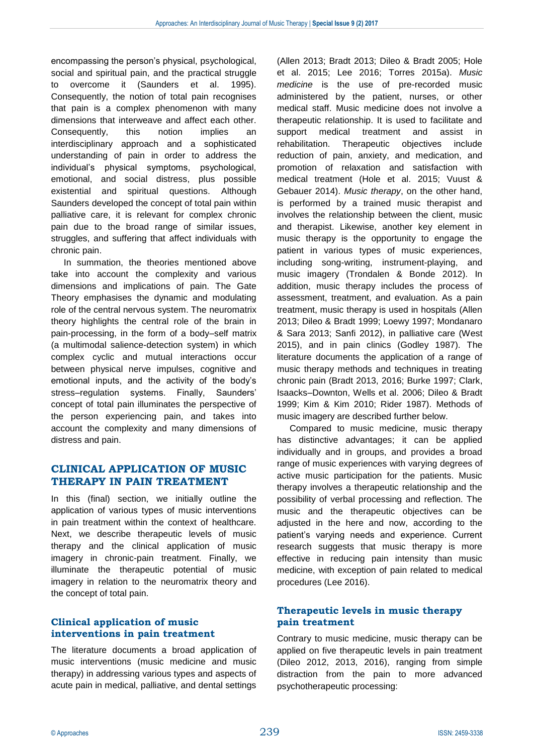encompassing the person's physical, psychological, social and spiritual pain, and the practical struggle to overcome it (Saunders et al. 1995). Consequently, the notion of total pain recognises that pain is a complex phenomenon with many dimensions that interweave and affect each other. Consequently, this notion implies an interdisciplinary approach and a sophisticated understanding of pain in order to address the individual's physical symptoms, psychological, emotional, and social distress, plus possible existential and spiritual questions. Although Saunders developed the concept of total pain within palliative care, it is relevant for complex chronic pain due to the broad range of similar issues, struggles, and suffering that affect individuals with chronic pain.

In summation, the theories mentioned above take into account the complexity and various dimensions and implications of pain. The Gate Theory emphasises the dynamic and modulating role of the central nervous system. The neuromatrix theory highlights the central role of the brain in pain-processing, in the form of a body–self matrix (a multimodal salience-detection system) in which complex cyclic and mutual interactions occur between physical nerve impulses, cognitive and emotional inputs, and the activity of the body's stress–regulation systems. Finally, Saunders' concept of total pain illuminates the perspective of the person experiencing pain, and takes into account the complexity and many dimensions of distress and pain.

### **CLINICAL APPLICATION OF MUSIC THERAPY IN PAIN TREATMENT**

In this (final) section, we initially outline the application of various types of music interventions in pain treatment within the context of healthcare. Next, we describe therapeutic levels of music therapy and the clinical application of music imagery in chronic-pain treatment. Finally, we illuminate the therapeutic potential of music imagery in relation to the neuromatrix theory and the concept of total pain.

#### **Clinical application of music interventions in pain treatment**

The literature documents a broad application of music interventions (music medicine and music therapy) in addressing various types and aspects of acute pain in medical, palliative, and dental settings

(Allen 2013; Bradt 2013; Dileo & Bradt 2005; Hole et al. 2015; Lee 2016; Torres 2015a). *Music medicine* is the use of pre-recorded music administered by the patient, nurses, or other medical staff. Music medicine does not involve a therapeutic relationship. It is used to facilitate and support medical treatment and assist in rehabilitation. Therapeutic objectives include reduction of pain, anxiety, and medication, and promotion of relaxation and satisfaction with medical treatment (Hole et al. 2015; Vuust & Gebauer 2014). *Music therapy*, on the other hand, is performed by a trained music therapist and involves the relationship between the client, music and therapist. Likewise, another key element in music therapy is the opportunity to engage the patient in various types of music experiences, including song-writing, instrument-playing, and music imagery (Trondalen & Bonde 2012). In addition, music therapy includes the process of assessment, treatment, and evaluation. As a pain treatment, music therapy is used in hospitals (Allen 2013; Dileo & Bradt 1999; Loewy 1997; Mondanaro & Sara 2013; Sanfi 2012), in palliative care (West 2015), and in pain clinics (Godley 1987). The literature documents the application of a range of music therapy methods and techniques in treating chronic pain (Bradt 2013, 2016; Burke 1997; Clark, Isaacks–Downton, Wells et al. 2006; Dileo & Bradt 1999; Kim & Kim 2010; Rider 1987). Methods of music imagery are described further below.

Compared to music medicine, music therapy has distinctive advantages; it can be applied individually and in groups, and provides a broad range of music experiences with varying degrees of active music participation for the patients. Music therapy involves a therapeutic relationship and the possibility of verbal processing and reflection. The music and the therapeutic objectives can be adjusted in the here and now, according to the patient's varying needs and experience. Current research suggests that music therapy is more effective in reducing pain intensity than music medicine, with exception of pain related to medical procedures (Lee 2016).

#### **Therapeutic levels in music therapy pain treatment**

Contrary to music medicine, music therapy can be applied on five therapeutic levels in pain treatment (Dileo 2012, 2013, 2016), ranging from simple distraction from the pain to more advanced psychotherapeutic processing: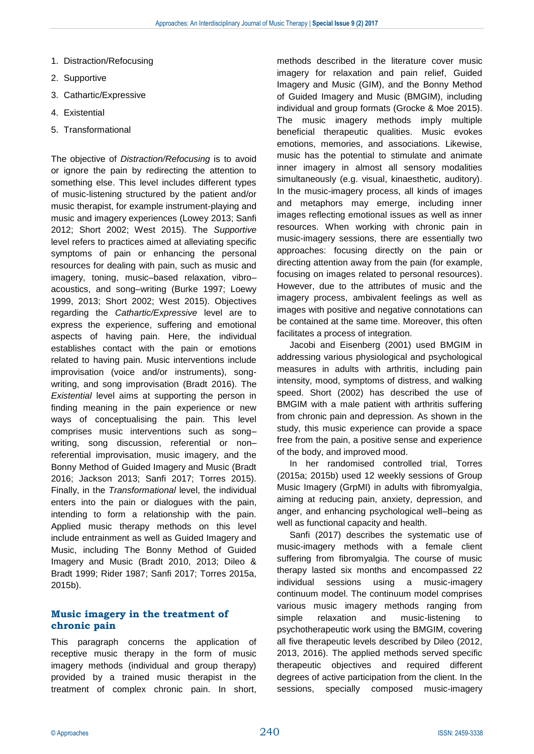- 1. Distraction/Refocusing
- 2. Supportive
- 3. Cathartic/Expressive
- 4. Existential
- 5. Transformational

The objective of *Distraction/Refocusing* is to avoid or ignore the pain by redirecting the attention to something else. This level includes different types of music-listening structured by the patient and/or music therapist, for example instrument-playing and music and imagery experiences (Lowey 2013; Sanfi 2012; Short 2002; West 2015). The *Supportive* level refers to practices aimed at alleviating specific symptoms of pain or enhancing the personal resources for dealing with pain, such as music and imagery, toning, music–based relaxation, vibro– acoustics, and song–writing (Burke 1997; Loewy 1999, 2013; Short 2002; West 2015). Objectives regarding the *Cathartic/Expressive* level are to express the experience, suffering and emotional aspects of having pain. Here, the individual establishes contact with the pain or emotions related to having pain. Music interventions include improvisation (voice and/or instruments), songwriting, and song improvisation (Bradt 2016). The *Existential* level aims at supporting the person in finding meaning in the pain experience or new ways of conceptualising the pain. This level comprises music interventions such as song– writing, song discussion, referential or non– referential improvisation, music imagery, and the Bonny Method of Guided Imagery and Music (Bradt 2016; Jackson 2013; Sanfi 2017; Torres 2015). Finally, in the *Transformational* level, the individual enters into the pain or dialogues with the pain, intending to form a relationship with the pain. Applied music therapy methods on this level include entrainment as well as Guided Imagery and Music, including The Bonny Method of Guided Imagery and Music (Bradt 2010, 2013; Dileo & Bradt 1999; Rider 1987; Sanfi 2017; Torres 2015a, 2015b).

#### **Music imagery in the treatment of chronic pain**

This paragraph concerns the application of receptive music therapy in the form of music imagery methods (individual and group therapy) provided by a trained music therapist in the treatment of complex chronic pain. In short,

methods described in the literature cover music imagery for relaxation and pain relief, Guided Imagery and Music (GIM), and the Bonny Method of Guided Imagery and Music (BMGIM), including individual and group formats (Grocke & Moe 2015). The music imagery methods imply multiple beneficial therapeutic qualities. Music evokes emotions, memories, and associations. Likewise, music has the potential to stimulate and animate inner imagery in almost all sensory modalities simultaneously (e.g. visual, kinaesthetic, auditory). In the music-imagery process, all kinds of images and metaphors may emerge, including inner images reflecting emotional issues as well as inner resources. When working with chronic pain in music-imagery sessions, there are essentially two approaches: focusing directly on the pain or directing attention away from the pain (for example, focusing on images related to personal resources). However, due to the attributes of music and the imagery process, ambivalent feelings as well as images with positive and negative connotations can be contained at the same time. Moreover, this often facilitates a process of integration.

Jacobi and Eisenberg (2001) used BMGIM in addressing various physiological and psychological measures in adults with arthritis, including pain intensity, mood, symptoms of distress, and walking speed. Short (2002) has described the use of BMGIM with a male patient with arthritis suffering from chronic pain and depression. As shown in the study, this music experience can provide a space free from the pain, a positive sense and experience of the body, and improved mood.

In her randomised controlled trial, Torres (2015a; 2015b) used 12 weekly sessions of Group Music Imagery (GrpMI) in adults with fibromyalgia, aiming at reducing pain, anxiety, depression, and anger, and enhancing psychological well–being as well as functional capacity and health.

Sanfi (2017) describes the systematic use of music-imagery methods with a female client suffering from fibromyalgia. The course of music therapy lasted six months and encompassed 22 individual sessions using a music-imagery continuum model. The continuum model comprises various music imagery methods ranging from simple relaxation and music-listening psychotherapeutic work using the BMGIM, covering all five therapeutic levels described by Dileo (2012, 2013, 2016). The applied methods served specific therapeutic objectives and required different degrees of active participation from the client. In the sessions, specially composed music-imagery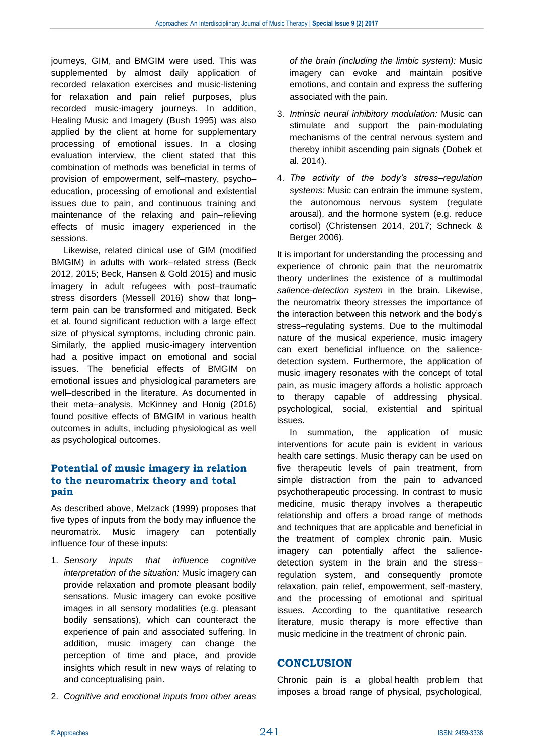journeys, GIM, and BMGIM were used. This was supplemented by almost daily application of recorded relaxation exercises and music-listening for relaxation and pain relief purposes, plus recorded music-imagery journeys. In addition, Healing Music and Imagery (Bush 1995) was also applied by the client at home for supplementary processing of emotional issues. In a closing evaluation interview, the client stated that this combination of methods was beneficial in terms of provision of empowerment, self–mastery, psycho– education, processing of emotional and existential issues due to pain, and continuous training and maintenance of the relaxing and pain–relieving effects of music imagery experienced in the sessions.

Likewise, related clinical use of GIM (modified BMGIM) in adults with work–related stress (Beck 2012, 2015; Beck, Hansen & Gold 2015) and music imagery in adult refugees with post–traumatic stress disorders (Messell 2016) show that long– term pain can be transformed and mitigated. Beck et al. found significant reduction with a large effect size of physical symptoms, including chronic pain. Similarly, the applied music-imagery intervention had a positive impact on emotional and social issues. The beneficial effects of BMGIM on emotional issues and physiological parameters are well–described in the literature. As documented in their meta–analysis, McKinney and Honig (2016) found positive effects of BMGIM in various health outcomes in adults, including physiological as well as psychological outcomes.

#### **Potential of music imagery in relation to the neuromatrix theory and total pain**

As described above, Melzack (1999) proposes that five types of inputs from the body may influence the neuromatrix. Music imagery can potentially influence four of these inputs:

- 1. *Sensory inputs that influence cognitive interpretation of the situation:* Music imagery can provide relaxation and promote pleasant bodily sensations. Music imagery can evoke positive images in all sensory modalities (e.g. pleasant bodily sensations), which can counteract the experience of pain and associated suffering. In addition, music imagery can change the perception of time and place, and provide insights which result in new ways of relating to and conceptualising pain.
- 2. *Cognitive and emotional inputs from other areas*

*of the brain (including the limbic system):* Music imagery can evoke and maintain positive emotions, and contain and express the suffering associated with the pain.

- 3. *Intrinsic neural inhibitory modulation:* Music can stimulate and support the pain-modulating mechanisms of the central nervous system and thereby inhibit ascending pain signals (Dobek et al. 2014).
- 4. *The activity of the body's stress–regulation systems:* Music can entrain the immune system, the autonomous nervous system (regulate arousal), and the hormone system (e.g. reduce cortisol) (Christensen 2014, 2017; Schneck & Berger 2006).

It is important for understanding the processing and experience of chronic pain that the neuromatrix theory underlines the existence of a multimodal *salience-detection system* in the brain. Likewise, the neuromatrix theory stresses the importance of the interaction between this network and the body's stress–regulating systems. Due to the multimodal nature of the musical experience, music imagery can exert beneficial influence on the saliencedetection system. Furthermore, the application of music imagery resonates with the concept of total pain, as music imagery affords a holistic approach to therapy capable of addressing physical, psychological, social, existential and spiritual issues.

In summation, the application of music interventions for acute pain is evident in various health care settings. Music therapy can be used on five therapeutic levels of pain treatment, from simple distraction from the pain to advanced psychotherapeutic processing. In contrast to music medicine, music therapy involves a therapeutic relationship and offers a broad range of methods and techniques that are applicable and beneficial in the treatment of complex chronic pain. Music imagery can potentially affect the saliencedetection system in the brain and the stress– regulation system, and consequently promote relaxation, pain relief, empowerment, self-mastery, and the processing of emotional and spiritual issues. According to the quantitative research literature, music therapy is more effective than music medicine in the treatment of chronic pain.

#### **CONCLUSION**

Chronic pain is a global health problem that imposes a broad range of physical, psychological,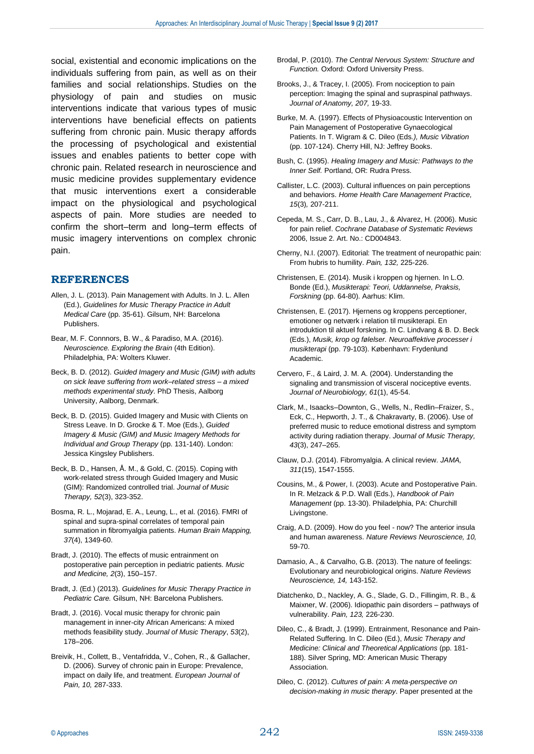social, existential and economic implications on the individuals suffering from pain, as well as on their families and social relationships. Studies on the physiology of pain and studies on music interventions indicate that various types of music interventions have beneficial effects on patients suffering from chronic pain. Music therapy affords the processing of psychological and existential issues and enables patients to better cope with chronic pain. Related research in neuroscience and music medicine provides supplementary evidence that music interventions exert a considerable impact on the physiological and psychological aspects of pain. More studies are needed to confirm the short–term and long–term effects of music imagery interventions on complex chronic pain.

#### **REFERENCES**

- Allen, J. L. (2013). Pain Management with Adults. In J. L. Allen (Ed.), *Guidelines for Music Therapy Practice in Adult Medical Care* (pp. 35-61). Gilsum, NH: Barcelona Publishers.
- Bear, M. F. Connnors, B. W., & Paradiso, M.A. (2016). *Neuroscience. Exploring the Brain* (4th Edition). Philadelphia, PA: Wolters Kluwer.
- Beck, B. D. (2012). *Guided Imagery and Music (GIM) with adults on sick leave suffering from work–related stress – a mixed methods experimental study*. PhD Thesis, Aalborg University, Aalborg, Denmark.
- Beck, B. D. (2015). Guided Imagery and Music with Clients on Stress Leave. In D. Grocke & T. Moe (Eds.), *Guided Imagery & Music (GIM) and Music Imagery Methods for Individual and Group Therapy* (pp. 131-140). London: Jessica Kingsley Publishers.
- Beck, B. D., Hansen, Å. M., & Gold, C. (2015). Coping with work-related stress through Guided Imagery and Music (GIM): Randomized controlled trial. *Journal of Music Therapy, 52*(3), 323-352.
- Bosma, R. L., Mojarad, E. A., Leung, L., et al. (2016). FMRI of spinal and supra-spinal correlates of temporal pain summation in fibromyalgia patients. *Human Brain Mapping, 37*(4), 1349-60.
- Bradt, J. (2010). The effects of music entrainment on postoperative pain perception in pediatric patients. *Music and Medicine, 2*(3), 150–157.
- Bradt, J. (Ed.) (2013). *Guidelines for Music Therapy Practice in Pediatric Care.* Gilsum, NH: Barcelona Publishers.
- Bradt, J. (2016). Vocal music therapy for chronic pain management in inner-city African Americans: A mixed methods feasibility study. *Journal of Music Therapy*, *53*(2), 178–206.
- Breivik, H., Collett, B., Ventafridda, V., Cohen, R., & Gallacher, D. (2006). Survey of chronic pain in Europe: Prevalence, impact on daily life, and treatment. *European Journal of Pain, 10,* 287-333.
- Brodal, P. (2010). *The Central Nervous System: Structure and Function.* Oxford: Oxford University Press.
- Brooks, J., & Tracey, I. (2005). From nociception to pain perception: Imaging the spinal and supraspinal pathways. *Journal of Anatomy, 207,* 19-33.
- Burke, M. A. (1997). Effects of Physioacoustic Intervention on Pain Management of Postoperative Gynaecological Patients. In T. Wigram & C. Dileo (Eds*.), Music Vibration* (pp. 107-124). Cherry Hill, NJ: Jeffrey Books.
- Bush, C. (1995). *Healing Imagery and Music: Pathways to the Inner Self.* Portland, OR: Rudra Press.
- Callister, L.C. (2003). Cultural influences on pain perceptions and behaviors. *Home Health Care Management Practice, 15*(3)*,* 207-211.
- Cepeda, M. S., Carr, D. B., Lau, J., & Alvarez, H. (2006). Music for pain relief. *Cochrane Database of Systematic Reviews*  2006, Issue 2. Art. No.: CD004843.
- Cherny, N.I. (2007). Editorial: The treatment of neuropathic pain: From hubris to humility. *Pain, 132,* 225-226.
- Christensen, E. (2014). Musik i kroppen og hjernen. In L.O. Bonde (Ed.), *Musikterapi: Teori, Uddannelse, Praksis, Forskning* (pp. 64-80). Aarhus: Klim.
- Christensen, E. (2017). Hjernens og kroppens perceptioner, emotioner og netværk i relation til musikterapi. En introduktion til aktuel forskning. In C. Lindvang & B. D. Beck (Eds.), *Musik, krop og følelser. Neuroaffektive processer i musikterapi* (pp. 79-103). København: Frydenlund Academic.
- Cervero, F., & Laird, J. M. A. (2004). Understanding the signaling and transmission of visceral nociceptive events. *Journal of Neurobiology, 61*(1), 45-54.
- Clark, M., Isaacks–Downton, G., Wells, N., Redlin–Fraizer, S., Eck, C., Hepworth, J. T., & Chakravarty, B. (2006). Use of preferred music to reduce emotional distress and symptom activity during radiation therapy. *Journal of Music Therapy, 43*(3), 247–265.
- Clauw, D.J. (2014). Fibromyalgia. A clinical review. *JAMA, 311*(15), 1547-1555.
- Cousins, M., & Power, I. (2003). Acute and Postoperative Pain. In R. Melzack & P.D. Wall (Eds.), *Handbook of Pain Management* (pp. 13-30). Philadelphia, PA: Churchill Livingstone.
- Craig, A.D. (2009). How do you feel now? The anterior insula and human awareness. *Nature Reviews Neuroscience, 10,*  59-70.
- Damasio, A., & Carvalho, G.B. (2013). The nature of feelings: Evolutionary and neurobiological origins. *Nature Reviews Neuroscience, 14,* 143-152.
- Diatchenko, D., Nackley, A. G., Slade, G. D., Fillingim, R. B., & Maixner, W. (2006). Idiopathic pain disorders – pathways of vulnerability. *Pain, 123,* 226-230.
- Dileo, C., & Bradt, J. (1999). Entrainment, Resonance and Pain-Related Suffering. In C. Dileo (Ed.), *Music Therapy and Medicine: Clinical and Theoretical Applications* (pp. 181- 188). Silver Spring, MD: American Music Therapy **Association**
- Dileo, C. (2012). *Cultures of pain: A meta-perspective on decision-making in music therapy*. Paper presented at the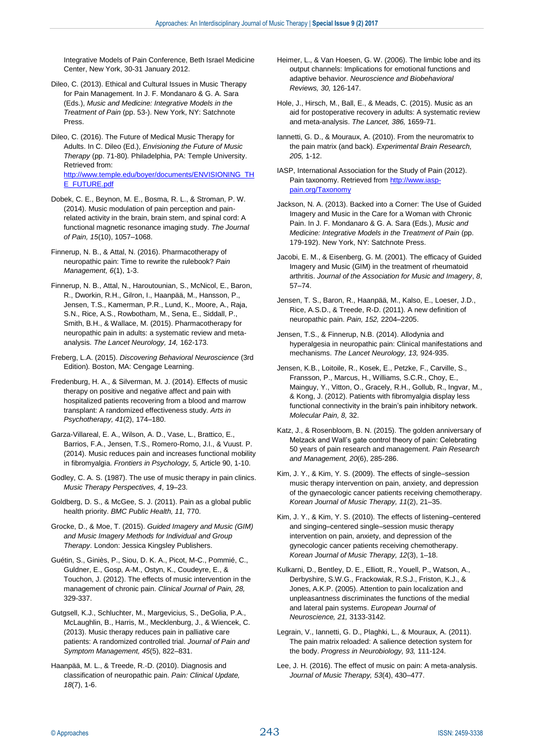Integrative Models of Pain Conference, Beth Israel Medicine Center, New York, 30-31 January 2012.

Dileo, C. (2013). Ethical and Cultural Issues in Music Therapy for Pain Management. In J. F. Mondanaro & G. A. Sara (Eds.), *Music and Medicine: Integrative Models in the Treatment of Pain* (pp. 53-). New York, NY: Satchnote Press.

Dileo, C. (2016). The Future of Medical Music Therapy for Adults. In C. Dileo (Ed.), *Envisioning the Future of Music Therapy* (pp. 71-80)*.* Philadelphia, PA: Temple University. Retrieved from: [http://www.temple.edu/boyer/documents/ENVISIONING\\_TH](http://www.temple.edu/boyer/documents/ENVISIONING_THE_FUTURE.pdf) [E\\_FUTURE.pdf](http://www.temple.edu/boyer/documents/ENVISIONING_THE_FUTURE.pdf)

Dobek, C. E., Beynon, M. E., Bosma, R. L., & Stroman, P. W. (2014). Music modulation of pain perception and painrelated activity in the brain, brain stem, and spinal cord: A functional magnetic resonance imaging study. *The Journal of Pain, 15*(10), 1057–1068.

Finnerup, N. B., & Attal, N. (2016). Pharmacotherapy of neuropathic pain: Time to rewrite the rulebook? *Pain Management, 6*(1), 1-3.

Finnerup, N. B., Attal, N., Haroutounian, S., McNicol, E., Baron, R., Dworkin, R.H., Gilron, I., Haanpää, M., Hansson, P., Jensen, T.S., Kamerman, P.R., Lund, K., Moore, A., Raja, S.N., Rice, A.S., Rowbotham, M., Sena, E., Siddall, P., Smith, B.H., & Wallace, M. (2015). Pharmacotherapy for neuropathic pain in adults: a systematic review and metaanalysis. *The Lancet Neurology, 14,* 162-173.

Freberg, L.A. (2015). *Discovering Behavioral Neuroscience* (3rd Edition)*.* Boston, MA: Cengage Learning.

Fredenburg, H. A., & Silverman, M. J. (2014). Effects of music therapy on positive and negative affect and pain with hospitalized patients recovering from a blood and marrow transplant: A randomized effectiveness study. *Arts in Psychotherapy, 41*(2), 174–180.

Garza-Villareal, E. A., Wilson, A. D., Vase, L., Brattico, E., Barrios, F.A., Jensen, T.S., Romero-Romo, J.I., & Vuust. P. (2014). Music reduces pain and increases functional mobility in fibromyalgia. *Frontiers in Psychology, 5,* Article 90, 1-10.

Godley, C. A. S. (1987). The use of music therapy in pain clinics. *Music Therapy Perspectives, 4*, 19–23.

Goldberg, D. S., & McGee, S. J. (2011). Pain as a global public health priority. *BMC Public Health, 11,* 770.

Grocke, D., & Moe, T. (2015). *Guided Imagery and Music (GIM) and Music Imagery Methods for Individual and Group Therapy*. London: Jessica Kingsley Publishers.

Guétin, S., Giniès, P., Siou, D. K. A., Picot, M-C., Pommié, C., Guldner, E., Gosp, A-M., Ostyn, K., Coudeyre, E., & Touchon, J. (2012). The effects of music intervention in the management of chronic pain. *Clinical Journal of Pain, 28,*  329-337.

Gutgsell, K.J., Schluchter, M., Margevicius, S., DeGolia, P.A., McLaughlin, B., Harris, M., Mecklenburg, J., & Wiencek, C. (2013). Music therapy reduces pain in palliative care patients: A randomized controlled trial. *Journal of Pain and Symptom Management, 45*(5), 822–831.

Haanpää, M. L., & Treede, R.-D. (2010). Diagnosis and classification of neuropathic pain. *Pain: Clinical Update, 18*(7), 1-6.

- Heimer, L., & Van Hoesen, G. W. (2006). The limbic lobe and its output channels: Implications for emotional functions and adaptive behavior. *Neuroscience and Biobehavioral Reviews, 30,* 126-147.
- Hole, J., Hirsch, M., Ball, E., & Meads, C. (2015). Music as an aid for postoperative recovery in adults: A systematic review and meta-analysis. *The Lancet, 386,* 1659-71.
- Iannetti, G. D., & Mouraux, A. (2010). From the neuromatrix to the pain matrix (and back). *Experimental Brain Research, 205,* 1-12.

IASP, International Association for the Study of Pain (2012). Pain taxonomy. Retrieved from [http://www.iasp](http://www.iasp-pain.org/Taxonomy)[pain.org/Taxonomy](http://www.iasp-pain.org/Taxonomy)

- Jackson, N. A. (2013). Backed into a Corner: The Use of Guided Imagery and Music in the Care for a Woman with Chronic Pain. In J. F. Mondanaro & G. A. Sara (Eds.), *Music and Medicine: Integrative Models in the Treatment of Pain* (pp. 179-192). New York, NY: Satchnote Press.
- Jacobi, E. M., & Eisenberg, G. M. (2001). The efficacy of Guided Imagery and Music (GIM) in the treatment of rheumatoid arthritis. *Journal of the Association for Music and Imagery*, *8*, 57–74.
- Jensen, T. S., Baron, R., Haanpää, M., Kalso, E., Loeser, J.D., Rice, A.S.D., & Treede, R-D. (2011). A new definition of neuropathic pain. *Pain, 152,* 2204–2205.

Jensen, T.S., & Finnerup, N.B. (2014). Allodynia and hyperalgesia in neuropathic pain: Clinical manifestations and mechanisms. *The Lancet Neurology, 13,* 924-935.

Jensen, K.B., Loitoile, R., Kosek, E., Petzke, F., Carville, S., Fransson, P., Marcus, H., Williams, S.C.R., Choy, E., Mainguy, Y., Vitton, O., Gracely, R.H., Gollub, R., Ingvar, M., & Kong, J. (2012). Patients with fibromyalgia display less functional connectivity in the brain's pain inhibitory network. *Molecular Pain, 8,* 32.

Katz, J., & Rosenbloom, B. N. (2015). The golden anniversary of Melzack and Wall's gate control theory of pain: Celebrating 50 years of pain research and management. *Pain Research and Management, 20*(6), 285-286.

Kim, J. Y., & Kim, Y. S. (2009). The effects of single–session music therapy intervention on pain, anxiety, and depression of the gynaecologic cancer patients receiving chemotherapy. *Korean Journal of Music Therapy, 11*(2), 21–35.

Kim, J. Y., & Kim, Y. S. (2010). The effects of listening–centered and singing–centered single–session music therapy intervention on pain, anxiety, and depression of the gynecologic cancer patients receiving chemotherapy. *Korean Journal of Music Therapy, 12*(3), 1–18.

Kulkarni, D., Bentley, D. E., Elliott, R., Youell, P., Watson, A., Derbyshire, S.W.G., Frackowiak, R.S.J., Friston, K.J., & Jones, A.K.P. (2005). Attention to pain localization and unpleasantness discriminates the functions of the medial and lateral pain systems. *European Journal of Neuroscience, 21,* 3133-3142.

Legrain, V., Iannetti, G. D., Plaghki, L., & Mouraux, A. (2011). The pain matrix reloaded: A salience detection system for the body. *Progress in Neurobiology, 93,* 111-124.

Lee, J. H. (2016). The effect of music on pain: A meta-analysis. *Journal of Music Therapy, 53*(4), 430–477.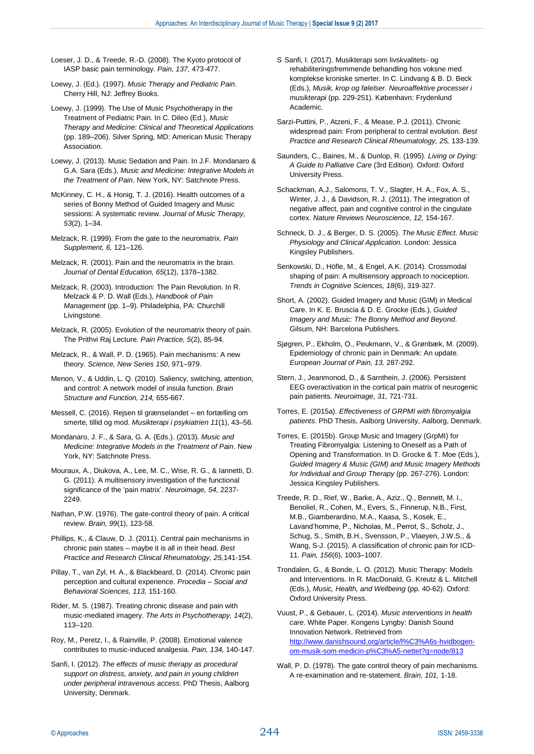- Loeser, J. D., & Treede, R.-D. (2008). The Kyoto protocol of IASP basic pain terminology. *Pain, 137,* 473-477.
- Loewy, J. (Ed.). (1997). *Music Therapy and Pediatric Pain*. Cherry Hill, NJ: Jeffrey Books.
- Loewy, J. (1999). The Use of Music Psychotherapy in the Treatment of Pediatric Pain. In C. Dileo (Ed.), *Music Therapy and Medicine: Clinical and Theoretical Applications*  (pp. 189–206). Silver Spring, MD: American Music Therapy Association.
- Loewy, J. (2013). Music Sedation and Pain. In J.F. Mondanaro & G.A. Sara (Eds.), *Music and Medicine: Integrative Models in the Treatment of Pain*. New York, NY: Satchnote Press.
- McKinney, C. H., & Honig, T. J. (2016). Health outcomes of a series of Bonny Method of Guided Imagery and Music sessions: A systematic review. *Journal of Music Therapy, 53*(2), 1–34.
- Melzack, R. (1999). From the gate to the neuromatrix. *Pain Supplement, 6,* 121–126.
- Melzack, R. (2001). Pain and the neuromatrix in the brain. *Journal of Dental Education, 65*(12), 1378–1382.
- Melzack, R. (2003). Introduction: The Pain Revolution. In R. Melzack & P. D. Wall (Eds.), *Handbook of Pain Management* (pp. 1–9). Philadelphia, PA: Churchill Livingstone.
- Melzack, R. (2005). Evolution of the neuromatrix theory of pain. The Prithvi Raj Lecture. *Pain Practice, 5*(2), 85-94.
- Melzack, R., & Wall, P. D. (1965). Pain mechanisms: A new theory. *Science, New Series 150*, 971–979.
- Menon, V., & Uddin, L. Q. (2010). Saliency, switching, attention, and control: A network model of insula function. *Brain Structure and Function, 214,* 655-667.
- Messell, C. (2016). Rejsen til grænselandet en fortælling om smerte, tillid og mod. *Musikterapi i psykiatrien 11*(1), 43–56.
- Mondanaro, J. F., & Sara, G. A. (Eds.). (2013). *Music and Medicine: Integrative Models in the Treatment of Pain*. New York, NY: Satchnote Press.
- Mouraux, A., Diukova, A., Lee, M. C., Wise, R. G., & Iannetti, D. G. (2011). A multisensory investigation of the functional significance of the 'pain matrix'. *Neuroimage, 54,* 2237- 2249.
- Nathan, P.W. (1976). The gate-control theory of pain. A critical review. *Brain, 99*(1), 123-58.
- Phillips, K., & Clauw, D. J. (2011). Central pain mechanisms in chronic pain states – maybe it is all in their head. *Best Practice and Research Clinical Rheumatology, 25,*141-154.
- Pillay, T., van Zyl, H. A., & Blackbeard, D. (2014). Chronic pain perception and cultural experience. *Procedia – Social and Behavioral Sciences, 113,* 151-160.
- Rider, M. S. (1987). Treating chronic disease and pain with music-mediated imagery. *The Arts in Psychotherapy, 14*(2), 113–120.
- Roy, M., Peretz, I., & Rainville, P. (2008). Emotional valence contributes to music-induced analgesia. *Pain, 134,* 140-147.
- Sanfi, I. (2012). *The effects of music therapy as procedural support on distress, anxiety, and pain in young children under peripheral intravenous access*. PhD Thesis, Aalborg University, Denmark.
- S Sanfi, I. (2017). Musikterapi som livskvalitets- og rehabiliteringsfremmende behandling hos voksne med komplekse kroniske smerter. In C. Lindvang & B. D. Beck (Eds.), *Musik, krop og følelser. Neuroaffektive processer i musikterapi* (pp. 229-251). København: Frydenlund Academic.
- Sarzi-Puttini, P., Atzeni, F., & Mease, P.J. (2011). Chronic widespread pain: From peripheral to central evolution. *Best Practice and Research Clinical Rheumatology, 25,* 133-139.
- Saunders, C., Baines, M., & Dunlop, R. (1995). *Living or Dying: A Guide to Palliative Care* (3rd Edition). Oxford: Oxford University Press.
- Schackman, A.J., Salomons, T. V., Slagter, H. A., Fox, A. S., Winter, J. J., & Davidson, R. J. (2011). The integration of negative affect, pain and cognitive control in the cingulate cortex. *Nature Reviews Neuroscience, 12,* 154-167.
- Schneck, D. J., & Berger, D. S. (2005). *The Music Effect. Music Physiology and Clinical Application.* London: Jessica Kingsley Publishers.
- Senkowski, D., Höfle, M., & Engel, A.K. (2014). Crossmodal shaping of pain: A multisensory approach to nociception. *Trends in Cognitive Sciences, 18*(6), 319-327.
- Short, A. (2002). Guided Imagery and Music (GIM) in Medical Care. In K. E. Bruscia & D. E. Grocke (Eds.), *Guided Imagery and Music: The Bonny Method and Beyond*. Gilsum, NH: Barcelona Publishers.
- Sjøgren, P., Ekholm, O., Peukmann, V., & Grønbæk, M. (2009). Epidemiology of chronic pain in Denmark: An update. *European Journal of Pain, 13,* 287-292.
- Stern, J., Jeanmonod, D., & Sarnthein, J. (2006). Persistent EEG overactivation in the cortical pain matrix of neurogenic pain patients. *Neuroimage, 31,* 721-731.
- Torres, E. (2015a). *Effectiveness of GRPMI with fibromyalgia patients*. PhD Thesis, Aalborg University, Aalborg, Denmark.
- Torres, E. (2015b). Group Music and Imagery (GrpMI) for Treating Fibromyalgia: Listening to Oneself as a Path of Opening and Transformation. In D. Grocke & T. Moe (Eds.), *Guided Imagery & Music (GIM) and Music Imagery Methods for Individual and Group Therapy* (pp. 267-276). London: Jessica Kingsley Publishers.
- Treede, R. D., Rief, W., Barke, A., Aziz., Q., Bennett, M. I., Benoliel, R., Cohen, M., Evers, S., Finnerup, N.B., First, M.B., Giamberardino, M.A., Kaasa, S., Kosek, E., Lavand'homme, P., Nicholas, M., Perrot, S., Scholz, J., Schug, S., Smith, B.H., Svensson, P., Vlaeyen, J.W.S., & Wang, S-J. (2015). A classification of chronic pain for ICD-11. *Pain, 156*(6), 1003–1007.
- Trondalen, G., & Bonde, L. O. (2012). Music Therapy: Models and Interventions. In R. MacDonald, G. Kreutz & L. Mitchell (Eds.), *Music, Health, and Wellbeing* (pp. 40-62). Oxford: Oxford University Press.
- Vuust, P., & Gebauer, L. (2014). *Music interventions in health care*. White Paper. Kongens Lyngby: Danish Sound Innovation Network. Retrieved from [http://www.danishsound.org/article/l%C3%A6s-hvidbogen](http://www.danishsound.org/article/l%C3%A6s-hvidbogen-om-musik-som-medicin-p%C3%A5-nettet?q=node/813)[om-musik-som-medicin-p%C3%A5-nettet?q=node/813](http://www.danishsound.org/article/l%C3%A6s-hvidbogen-om-musik-som-medicin-p%C3%A5-nettet?q=node/813)
- Wall, P. D. (1978). The gate control theory of pain mechanisms. A re-examination and re-statement. *Brain, 101,* 1-18.